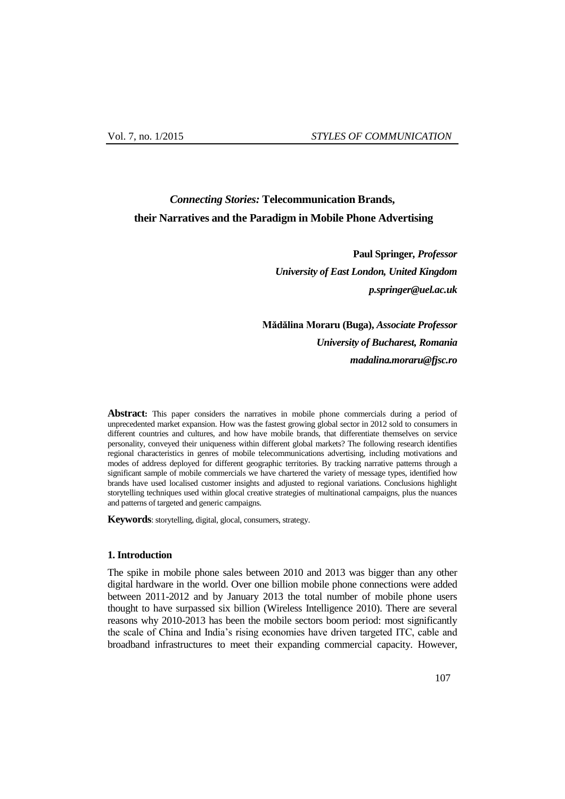# *Connecting Stories:* **Telecommunication Brands, their Narratives and the Paradigm in Mobile Phone Advertising**

**Paul Springer***, Professor University of East London, United Kingdom [p.springer@uel.ac.uk](mailto:p.springer@uel.ac.uk)*

**Mădălina Moraru (Buga),** *Associate Professor University of Bucharest, Romania madalina.moraru@fjsc.ro*

**Abstract:** This paper considers the narratives in mobile phone commercials during a period of unprecedented market expansion. How was the fastest growing global sector in 2012 sold to consumers in different countries and cultures, and how have mobile brands, that differentiate themselves on service personality, conveyed their uniqueness within different global markets? The following research identifies regional characteristics in genres of mobile telecommunications advertising, including motivations and modes of address deployed for different geographic territories. By tracking narrative patterns through a significant sample of mobile commercials we have chartered the variety of message types, identified how brands have used localised customer insights and adjusted to regional variations. Conclusions highlight storytelling techniques used within glocal creative strategies of multinational campaigns, plus the nuances and patterns of targeted and generic campaigns.

**Keywords**: storytelling, digital, glocal, consumers, strategy.

### **1. Introduction**

The spike in mobile phone sales between 2010 and 2013 was bigger than any other digital hardware in the world. Over one billion mobile phone connections were added between 2011-2012 and by January 2013 the total number of mobile phone users thought to have surpassed six billion (Wireless Intelligence 2010). There are several reasons why 2010-2013 has been the mobile sectors boom period: most significantly the scale of China and India"s rising economies have driven targeted ITC, cable and broadband infrastructures to meet their expanding commercial capacity. However,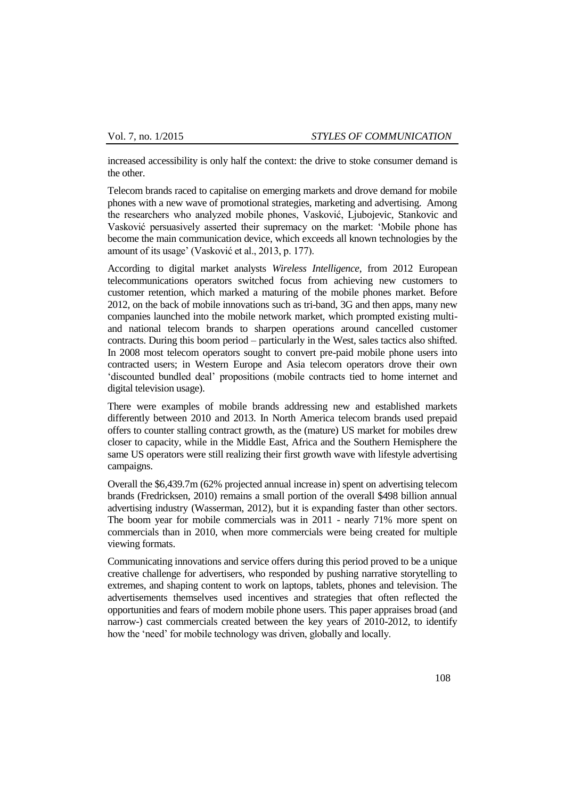increased accessibility is only half the context: the drive to stoke consumer demand is the other.

Telecom brands raced to capitalise on emerging markets and drove demand for mobile phones with a new wave of promotional strategies, marketing and advertising. Among the researchers who analyzed mobile phones, Vasković, Ljubojevic, Stankovic and Vasković persuasively asserted their supremacy on the market: "Mobile phone has become the main communication device, which exceeds all known technologies by the amount of its usage" (Vasković et al., 2013, p. 177).

According to digital market analysts *Wireless Intelligence*, from 2012 European telecommunications operators switched focus from achieving new customers to customer retention, which marked a maturing of the mobile phones market. Before 2012, on the back of mobile innovations such as tri-band, 3G and then apps, many new companies launched into the mobile network market, which prompted existing multiand national telecom brands to sharpen operations around cancelled customer contracts. During this boom period – particularly in the West, sales tactics also shifted. In 2008 most telecom operators sought to convert pre-paid mobile phone users into contracted users; in Western Europe and Asia telecom operators drove their own "discounted bundled deal" propositions (mobile contracts tied to home internet and digital television usage).

There were examples of mobile brands addressing new and established markets differently between 2010 and 2013. In North America telecom brands used prepaid offers to counter stalling contract growth, as the (mature) US market for mobiles drew closer to capacity, while in the Middle East, Africa and the Southern Hemisphere the same US operators were still realizing their first growth wave with lifestyle advertising campaigns.

Overall the \$6,439.7m (62% projected annual increase in) spent on advertising telecom brands (Fredricksen, 2010) remains a small portion of the overall \$498 billion annual advertising industry (Wasserman, 2012), but it is expanding faster than other sectors. The boom year for mobile commercials was in 2011 - nearly 71% more spent on commercials than in 2010, when more commercials were being created for multiple viewing formats.

Communicating innovations and service offers during this period proved to be a unique creative challenge for advertisers, who responded by pushing narrative storytelling to extremes, and shaping content to work on laptops, tablets, phones and television. The advertisements themselves used incentives and strategies that often reflected the opportunities and fears of modern mobile phone users. This paper appraises broad (and narrow-) cast commercials created between the key years of 2010-2012, to identify how the "need" for mobile technology was driven, globally and locally.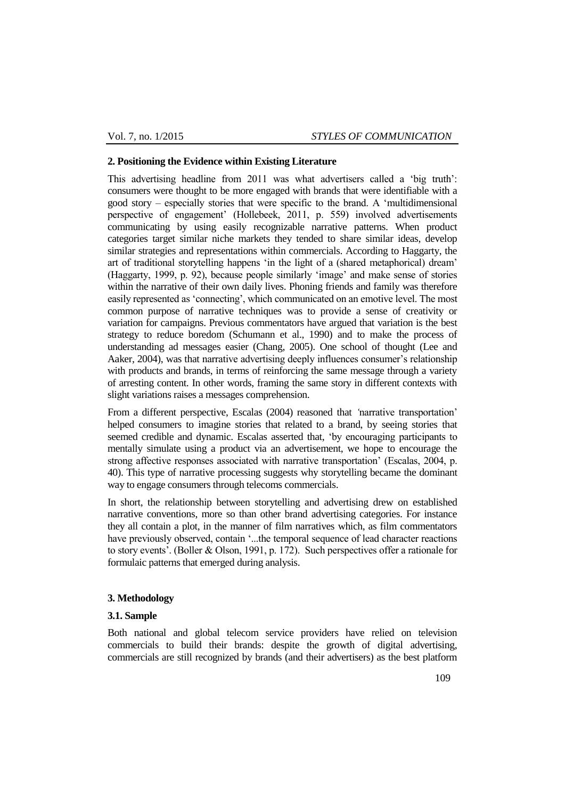#### **2. Positioning the Evidence within Existing Literature**

This advertising headline from 2011 was what advertisers called a 'big truth': consumers were thought to be more engaged with brands that were identifiable with a good story – especially stories that were specific to the brand. A "multidimensional perspective of engagement" (Hollebeek, 2011, p. 559) involved advertisements communicating by using easily recognizable narrative patterns. When product categories target similar niche markets they tended to share similar ideas, develop similar strategies and representations within commercials. According to Haggarty, the art of traditional storytelling happens "in the light of a (shared metaphorical) dream" (Haggarty, 1999, p. 92), because people similarly "image" and make sense of stories within the narrative of their own daily lives. Phoning friends and family was therefore easily represented as "connecting", which communicated on an emotive level. The most common purpose of narrative techniques was to provide a sense of creativity or variation for campaigns. Previous commentators have argued that variation is the best strategy to reduce boredom (Schumann et al., 1990) and to make the process of understanding ad messages easier (Chang, 2005). One school of thought (Lee and Aaker, 2004), was that narrative advertising deeply influences consumer"s relationship with products and brands, in terms of reinforcing the same message through a variety of arresting content. In other words, framing the same story in different contexts with slight variations raises a messages comprehension.

From a different perspective, Escalas (2004) reasoned that *'*narrative transportation" helped consumers to imagine stories that related to a brand, by seeing stories that seemed credible and dynamic. Escalas asserted that, "by encouraging participants to mentally simulate using a product via an advertisement, we hope to encourage the strong affective responses associated with narrative transportation' (Escalas, 2004, p. 40). This type of narrative processing suggests why storytelling became the dominant way to engage consumers through telecoms commercials.

In short, the relationship between storytelling and advertising drew on established narrative conventions, more so than other brand advertising categories. For instance they all contain a plot, in the manner of film narratives which, as film commentators have previously observed, contain '...the temporal sequence of lead character reactions to story events". (Boller & Olson, 1991, p. 172). Such perspectives offer a rationale for formulaic patterns that emerged during analysis.

# **3. Methodology**

# **3.1. Sample**

Both national and global telecom service providers have relied on television commercials to build their brands: despite the growth of digital advertising, commercials are still recognized by brands (and their advertisers) as the best platform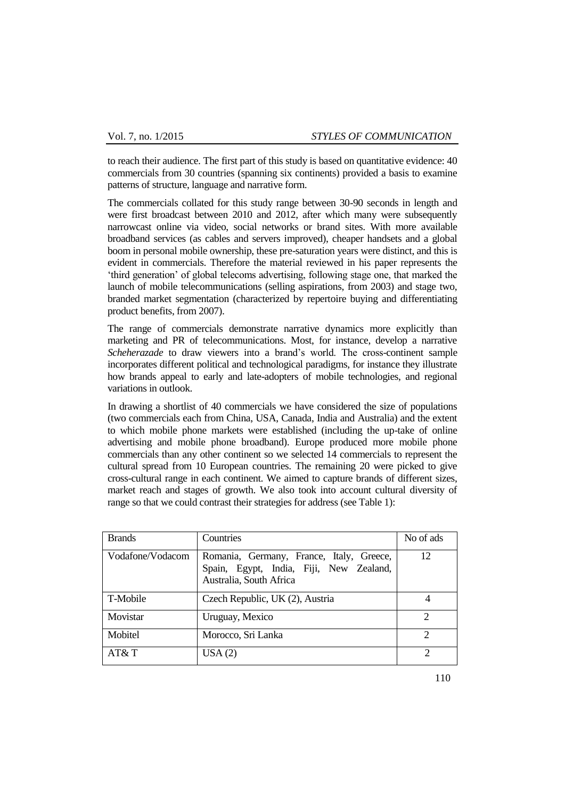to reach their audience. The first part of this study is based on quantitative evidence: 40 commercials from 30 countries (spanning six continents) provided a basis to examine patterns of structure, language and narrative form.

The commercials collated for this study range between 30-90 seconds in length and were first broadcast between 2010 and 2012, after which many were subsequently narrowcast online via video, social networks or brand sites. With more available broadband services (as cables and servers improved), cheaper handsets and a global boom in personal mobile ownership, these pre-saturation years were distinct, and this is evident in commercials. Therefore the material reviewed in his paper represents the "third generation" of global telecoms advertising, following stage one, that marked the launch of mobile telecommunications (selling aspirations, from 2003) and stage two, branded market segmentation (characterized by repertoire buying and differentiating product benefits, from 2007).

The range of commercials demonstrate narrative dynamics more explicitly than marketing and PR of telecommunications. Most, for instance, develop a narrative *Scheherazade* to draw viewers into a brand"s world. The cross-continent sample incorporates different political and technological paradigms, for instance they illustrate how brands appeal to early and late-adopters of mobile technologies, and regional variations in outlook.

In drawing a shortlist of 40 commercials we have considered the size of populations (two commercials each from China, USA, Canada, India and Australia) and the extent to which mobile phone markets were established (including the up-take of online advertising and mobile phone broadband). Europe produced more mobile phone commercials than any other continent so we selected 14 commercials to represent the cultural spread from 10 European countries. The remaining 20 were picked to give cross-cultural range in each continent. We aimed to capture brands of different sizes, market reach and stages of growth. We also took into account cultural diversity of range so that we could contrast their strategies for address (see Table 1):

| <b>Brands</b>    | Countries                                                                                                      | No of ads                   |
|------------------|----------------------------------------------------------------------------------------------------------------|-----------------------------|
| Vodafone/Vodacom | Romania, Germany, France, Italy, Greece,<br>Spain, Egypt, India, Fiji, New Zealand,<br>Australia, South Africa | 12                          |
| T-Mobile         | Czech Republic, UK (2), Austria                                                                                | 4                           |
| Movistar         | Uruguay, Mexico                                                                                                | $\mathcal{D}_{\mathcal{L}}$ |
| Mobitel          | Morocco, Sri Lanka                                                                                             | 2                           |
| AT&T             | USA(2)                                                                                                         | ി                           |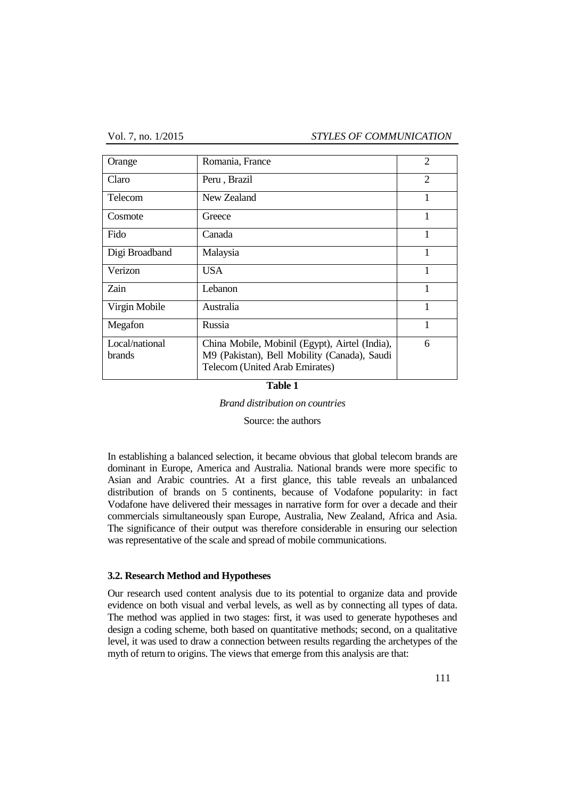Vol. 7, no. 1/2015 *STYLES OF COMMUNICATION*

| Orange                   | Romania, France                                                                                                                  | $\overline{2}$ |
|--------------------------|----------------------------------------------------------------------------------------------------------------------------------|----------------|
| Claro                    | Peru, Brazil                                                                                                                     | $\overline{2}$ |
| <b>Telecom</b>           | New Zealand                                                                                                                      | 1              |
| Cosmote                  | Greece                                                                                                                           | 1              |
| Fido                     | Canada                                                                                                                           | 1              |
| Digi Broadband           | Malaysia                                                                                                                         | 1              |
| Verizon                  | <b>USA</b>                                                                                                                       | 1              |
| Zain                     | Lebanon                                                                                                                          | 1              |
| Virgin Mobile            | Australia                                                                                                                        | 1              |
| Megafon                  | Russia                                                                                                                           | 1              |
| Local/national<br>brands | China Mobile, Mobinil (Egypt), Airtel (India),<br>M9 (Pakistan), Bell Mobility (Canada), Saudi<br>Telecom (United Arab Emirates) | 6              |

#### **Table 1**

*Brand distribution on countries*

Source: the authors

In establishing a balanced selection, it became obvious that global telecom brands are dominant in Europe, America and Australia. National brands were more specific to Asian and Arabic countries. At a first glance, this table reveals an unbalanced distribution of brands on 5 continents, because of Vodafone popularity: in fact Vodafone have delivered their messages in narrative form for over a decade and their commercials simultaneously span Europe, Australia, New Zealand, Africa and Asia. The significance of their output was therefore considerable in ensuring our selection was representative of the scale and spread of mobile communications.

### **3.2. Research Method and Hypotheses**

Our research used content analysis due to its potential to organize data and provide evidence on both visual and verbal levels, as well as by connecting all types of data. The method was applied in two stages: first, it was used to generate hypotheses and design a coding scheme, both based on quantitative methods; second, on a qualitative level, it was used to draw a connection between results regarding the archetypes of the myth of return to origins. The views that emerge from this analysis are that: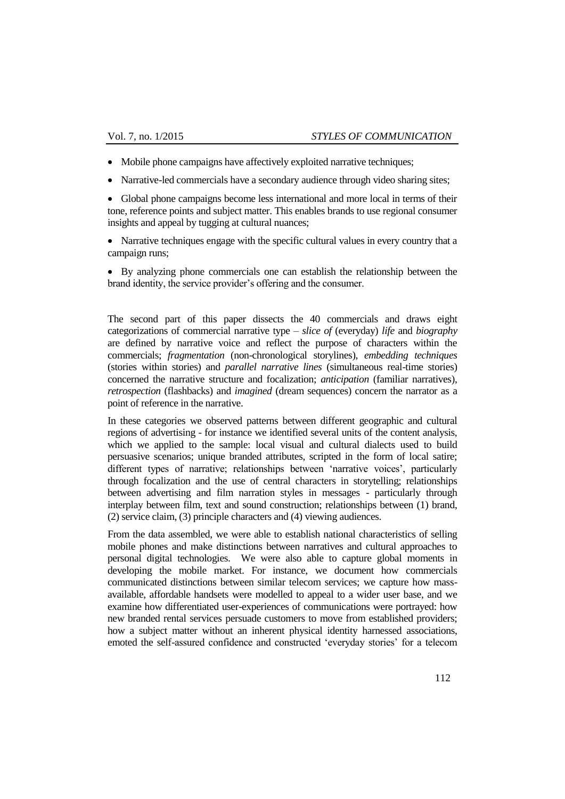- Mobile phone campaigns have affectively exploited narrative techniques;
- Narrative-led commercials have a secondary audience through video sharing sites;

 Global phone campaigns become less international and more local in terms of their tone, reference points and subject matter. This enables brands to use regional consumer insights and appeal by tugging at cultural nuances;

 Narrative techniques engage with the specific cultural values in every country that a campaign runs;

 By analyzing phone commercials one can establish the relationship between the brand identity, the service provider's offering and the consumer.

The second part of this paper dissects the 40 commercials and draws eight categorizations of commercial narrative type – *slice of* (everyday) *life* and *biography* are defined by narrative voice and reflect the purpose of characters within the commercials; *fragmentation* (non-chronological storylines), *embedding techniques* (stories within stories) and *parallel narrative lines* (simultaneous real-time stories) concerned the narrative structure and focalization; *anticipation* (familiar narratives), *retrospection* (flashbacks) and *imagined* (dream sequences) concern the narrator as a point of reference in the narrative.

In these categories we observed patterns between different geographic and cultural regions of advertising - for instance we identified several units of the content analysis, which we applied to the sample: local visual and cultural dialects used to build persuasive scenarios; unique branded attributes, scripted in the form of local satire; different types of narrative; relationships between 'narrative voices', particularly through focalization and the use of central characters in storytelling; relationships between advertising and film narration styles in messages - particularly through interplay between film, text and sound construction; relationships between (1) brand, (2) service claim, (3) principle characters and (4) viewing audiences.

From the data assembled, we were able to establish national characteristics of selling mobile phones and make distinctions between narratives and cultural approaches to personal digital technologies. We were also able to capture global moments in developing the mobile market. For instance, we document how commercials communicated distinctions between similar telecom services; we capture how massavailable, affordable handsets were modelled to appeal to a wider user base, and we examine how differentiated user-experiences of communications were portrayed: how new branded rental services persuade customers to move from established providers; how a subject matter without an inherent physical identity harnessed associations, emoted the self-assured confidence and constructed "everyday stories" for a telecom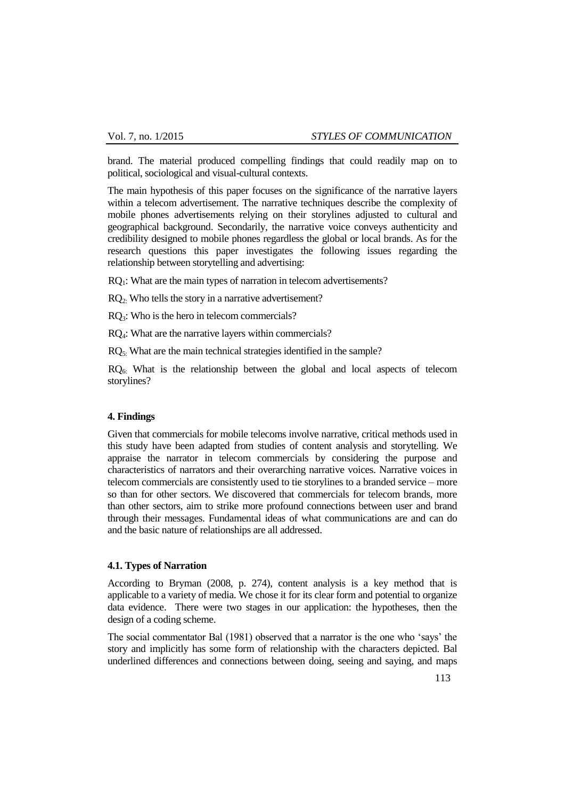brand. The material produced compelling findings that could readily map on to political, sociological and visual-cultural contexts.

The main hypothesis of this paper focuses on the significance of the narrative layers within a telecom advertisement. The narrative techniques describe the complexity of mobile phones advertisements relying on their storylines adjusted to cultural and geographical background. Secondarily, the narrative voice conveys authenticity and credibility designed to mobile phones regardless the global or local brands. As for the research questions this paper investigates the following issues regarding the relationship between storytelling and advertising:

RQ<sub>1</sub>: What are the main types of narration in telecom advertisements?

RQ2: Who tells the story in a narrative advertisement?

RQ3: Who is the hero in telecom commercials?

RQ4: What are the narrative layers within commercials?

RQ5: What are the main technical strategies identified in the sample?

 $RQ<sub>6</sub>$ : What is the relationship between the global and local aspects of telecom storylines?

#### **4. Findings**

Given that commercials for mobile telecoms involve narrative, critical methods used in this study have been adapted from studies of content analysis and storytelling. We appraise the narrator in telecom commercials by considering the purpose and characteristics of narrators and their overarching narrative voices. Narrative voices in telecom commercials are consistently used to tie storylines to a branded service – more so than for other sectors. We discovered that commercials for telecom brands, more than other sectors, aim to strike more profound connections between user and brand through their messages. Fundamental ideas of what communications are and can do and the basic nature of relationships are all addressed.

### **4.1. Types of Narration**

According to Bryman (2008, p. 274), content analysis is a key method that is applicable to a variety of media. We chose it for its clear form and potential to organize data evidence. There were two stages in our application: the hypotheses, then the design of a coding scheme.

The social commentator Bal (1981) observed that a narrator is the one who "says" the story and implicitly has some form of relationship with the characters depicted. Bal underlined differences and connections between doing, seeing and saying, and maps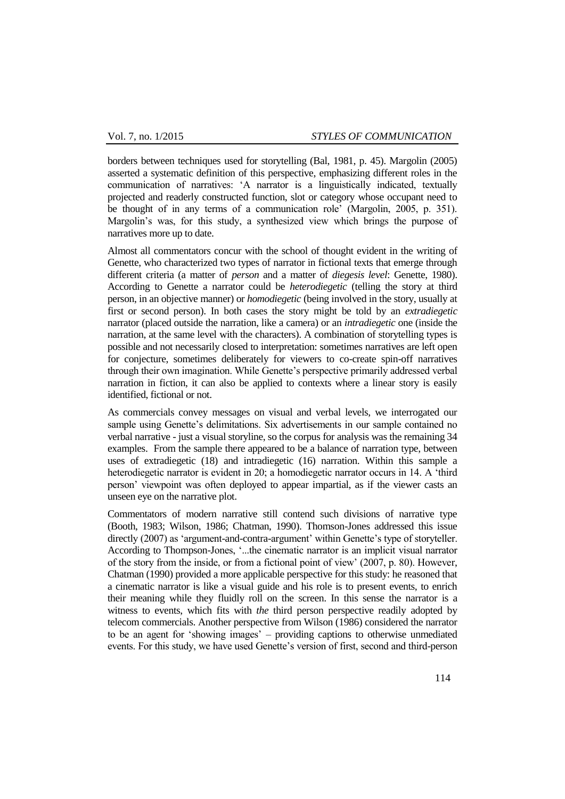borders between techniques used for storytelling (Bal, 1981, p. 45). Margolin (2005) asserted a systematic definition of this perspective, emphasizing different roles in the communication of narratives: "A narrator is a linguistically indicated, textually projected and readerly constructed function, slot or category whose occupant need to be thought of in any terms of a communication role' (Margolin, 2005, p. 351). Margolin"s was, for this study, a synthesized view which brings the purpose of narratives more up to date.

Almost all commentators concur with the school of thought evident in the writing of Genette, who characterized two types of narrator in fictional texts that emerge through different criteria (a matter of *person* and a matter of *diegesis level*: Genette, 1980). According to Genette a narrator could be *heterodiegetic* (telling the story at third person, in an objective manner) or *homodiegetic* (being involved in the story, usually at first or second person). In both cases the story might be told by an *extradiegetic* narrator (placed outside the narration, like a camera) or an *intradiegetic* one (inside the narration, at the same level with the characters). A combination of storytelling types is possible and not necessarily closed to interpretation: sometimes narratives are left open for conjecture, sometimes deliberately for viewers to co-create spin-off narratives through their own imagination. While Genette"s perspective primarily addressed verbal narration in fiction, it can also be applied to contexts where a linear story is easily identified, fictional or not.

As commercials convey messages on visual and verbal levels, we interrogated our sample using Genette's delimitations. Six advertisements in our sample contained no verbal narrative - just a visual storyline, so the corpus for analysis was the remaining 34 examples. From the sample there appeared to be a balance of narration type, between uses of extradiegetic (18) and intradiegetic (16) narration. Within this sample a heterodiegetic narrator is evident in 20; a homodiegetic narrator occurs in 14. A "third person" viewpoint was often deployed to appear impartial, as if the viewer casts an unseen eye on the narrative plot.

Commentators of modern narrative still contend such divisions of narrative type (Booth, 1983; Wilson, 1986; Chatman, 1990). Thomson-Jones addressed this issue directly (2007) as 'argument-and-contra-argument' within Genette's type of storyteller. According to Thompson-Jones, "...the cinematic narrator is an implicit visual narrator of the story from the inside, or from a fictional point of view" (2007, p. 80). However, Chatman (1990) provided a more applicable perspective for this study: he reasoned that a cinematic narrator is like a visual guide and his role is to present events, to enrich their meaning while they fluidly roll on the screen. In this sense the narrator is a witness to events, which fits with *the* third person perspective readily adopted by telecom commercials. Another perspective from Wilson (1986) considered the narrator to be an agent for "showing images" – providing captions to otherwise unmediated events. For this study, we have used Genette"s version of first, second and third-person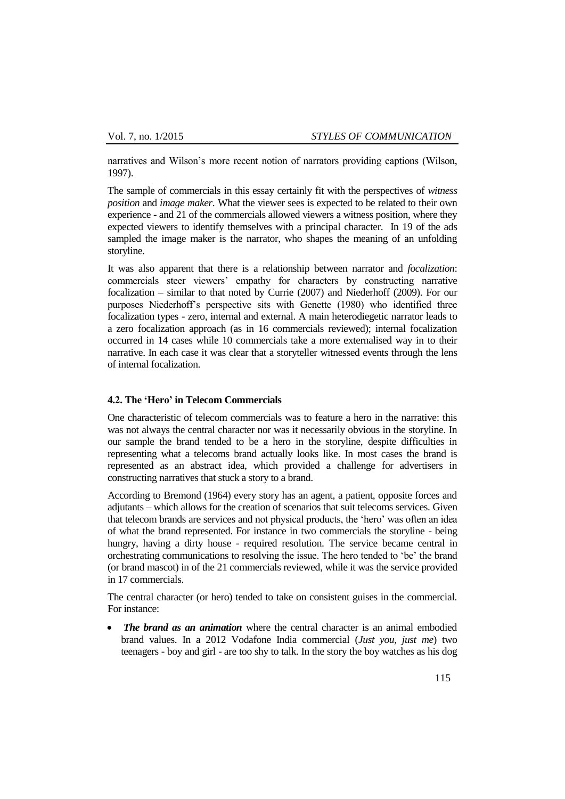narratives and Wilson"s more recent notion of narrators providing captions (Wilson, 1997).

The sample of commercials in this essay certainly fit with the perspectives of *witness position* and *image maker*. What the viewer sees is expected to be related to their own experience - and 21 of the commercials allowed viewers a witness position, where they expected viewers to identify themselves with a principal character. In 19 of the ads sampled the image maker is the narrator, who shapes the meaning of an unfolding storyline.

It was also apparent that there is a relationship between narrator and *focalization*: commercials steer viewers" empathy for characters by constructing narrative focalization – similar to that noted by Currie (2007) and Niederhoff (2009). For our purposes Niederhoff"s perspective sits with Genette (1980) who identified three focalization types - zero, internal and external. A main heterodiegetic narrator leads to a zero focalization approach (as in 16 commercials reviewed); internal focalization occurred in 14 cases while 10 commercials take a more externalised way in to their narrative. In each case it was clear that a storyteller witnessed events through the lens of internal focalization.

# **4.2. The 'Hero' in Telecom Commercials**

One characteristic of telecom commercials was to feature a hero in the narrative: this was not always the central character nor was it necessarily obvious in the storyline. In our sample the brand tended to be a hero in the storyline, despite difficulties in representing what a telecoms brand actually looks like. In most cases the brand is represented as an abstract idea, which provided a challenge for advertisers in constructing narratives that stuck a story to a brand.

According to Bremond (1964) every story has an agent, a patient, opposite forces and adjutants – which allows for the creation of scenarios that suit telecoms services. Given that telecom brands are services and not physical products, the "hero" was often an idea of what the brand represented. For instance in two commercials the storyline - being hungry, having a dirty house - required resolution. The service became central in orchestrating communications to resolving the issue. The hero tended to "be" the brand (or brand mascot) in of the 21 commercials reviewed, while it was the service provided in 17 commercials.

The central character (or hero) tended to take on consistent guises in the commercial. For instance:

 *The brand as an animation* where the central character is an animal embodied brand values. In a 2012 Vodafone India commercial (*Just you, just me*) two teenagers - boy and girl - are too shy to talk. In the story the boy watches as his dog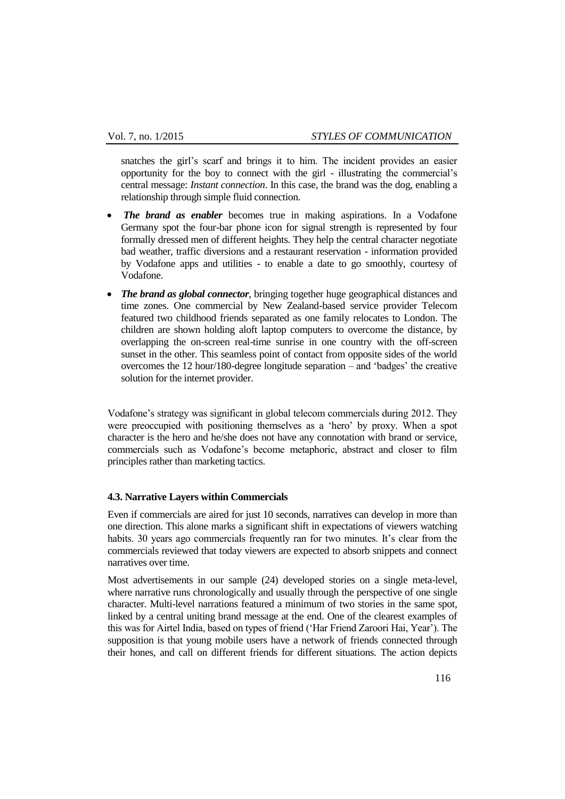snatches the girl"s scarf and brings it to him. The incident provides an easier opportunity for the boy to connect with the girl - illustrating the commercial"s central message: *Instant connection*. In this case, the brand was the dog, enabling a relationship through simple fluid connection.

- *The brand as enabler* becomes true in making aspirations. In a Vodafone Germany spot the four-bar phone icon for signal strength is represented by four formally dressed men of different heights. They help the central character negotiate bad weather, traffic diversions and a restaurant reservation - information provided by Vodafone apps and utilities - to enable a date to go smoothly, courtesy of Vodafone.
- *The brand as global connector*, bringing together huge geographical distances and time zones. One commercial by New Zealand-based service provider Telecom featured two childhood friends separated as one family relocates to London. The children are shown holding aloft laptop computers to overcome the distance, by overlapping the on-screen real-time sunrise in one country with the off-screen sunset in the other. This seamless point of contact from opposite sides of the world overcomes the 12 hour/180-degree longitude separation – and "badges" the creative solution for the internet provider.

Vodafone"s strategy was significant in global telecom commercials during 2012. They were preoccupied with positioning themselves as a "hero" by proxy. When a spot character is the hero and he/she does not have any connotation with brand or service, commercials such as Vodafone"s become metaphoric, abstract and closer to film principles rather than marketing tactics.

# **4.3. Narrative Layers within Commercials**

Even if commercials are aired for just 10 seconds, narratives can develop in more than one direction. This alone marks a significant shift in expectations of viewers watching habits. 30 years ago commercials frequently ran for two minutes. It's clear from the commercials reviewed that today viewers are expected to absorb snippets and connect narratives over time.

Most advertisements in our sample (24) developed stories on a single meta-level, where narrative runs chronologically and usually through the perspective of one single character. Multi-level narrations featured a minimum of two stories in the same spot, linked by a central uniting brand message at the end. One of the clearest examples of this was for Airtel India, based on types of friend ("Har Friend Zaroori Hai, Year"). The supposition is that young mobile users have a network of friends connected through their hones, and call on different friends for different situations. The action depicts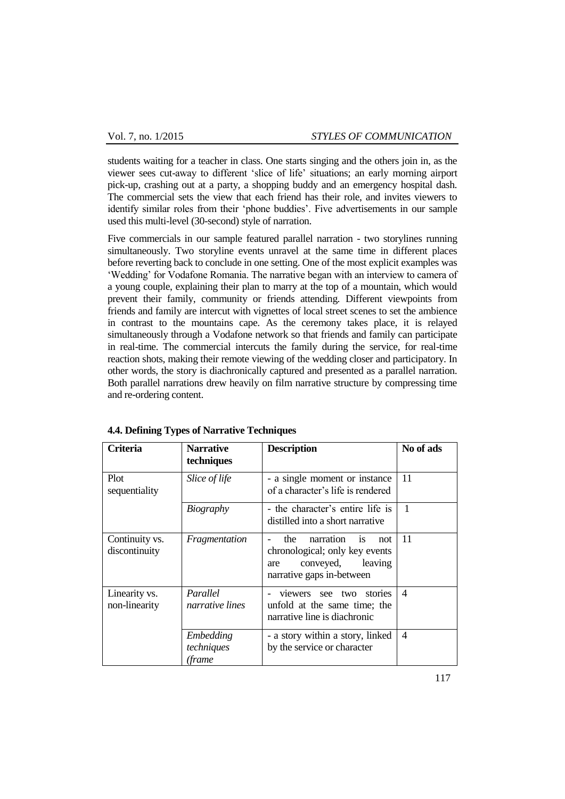students waiting for a teacher in class. One starts singing and the others join in, as the viewer sees cut-away to different "slice of life" situations; an early morning airport pick-up, crashing out at a party, a shopping buddy and an emergency hospital dash. The commercial sets the view that each friend has their role, and invites viewers to identify similar roles from their 'phone buddies'. Five advertisements in our sample used this multi-level (30-second) style of narration.

Five commercials in our sample featured parallel narration - two storylines running simultaneously. Two storyline events unravel at the same time in different places before reverting back to conclude in one setting. One of the most explicit examples was 'Wedding' for Vodafone Romania. The narrative began with an interview to camera of a young couple, explaining their plan to marry at the top of a mountain, which would prevent their family, community or friends attending. Different viewpoints from friends and family are intercut with vignettes of local street scenes to set the ambience in contrast to the mountains cape. As the ceremony takes place, it is relayed simultaneously through a Vodafone network so that friends and family can participate in real-time. The commercial intercuts the family during the service, for real-time reaction shots, making their remote viewing of the wedding closer and participatory. In other words, the story is diachronically captured and presented as a parallel narration. Both parallel narrations drew heavily on film narrative structure by compressing time and re-ordering content.

| <b>Criteria</b>                 | <b>Narrative</b><br>techniques    | <b>Description</b>                                                                                                              | No of ads                |
|---------------------------------|-----------------------------------|---------------------------------------------------------------------------------------------------------------------------------|--------------------------|
| Plot<br>sequentiality           | Slice of life                     | - a single moment or instance<br>of a character's life is rendered                                                              | 11                       |
|                                 | <b>Biography</b>                  | - the character's entire life is<br>distilled into a short narrative                                                            | 1                        |
| Continuity vs.<br>discontinuity | Fragmentation                     | the narration<br>not<br><i>is</i><br>chronological; only key events<br>leaving<br>conveyed,<br>are<br>narrative gaps in-between | 11                       |
| Linearity vs.<br>non-linearity  | Parallel<br>narrative lines       | viewers see two stories<br>unfold at the same time; the<br>narrative line is diachronic                                         | $\overline{\mathcal{A}}$ |
|                                 | Embedding<br>techniques<br>(frame | - a story within a story, linked<br>by the service or character                                                                 | $\overline{4}$           |

**4.4. Defining Types of Narrative Techniques**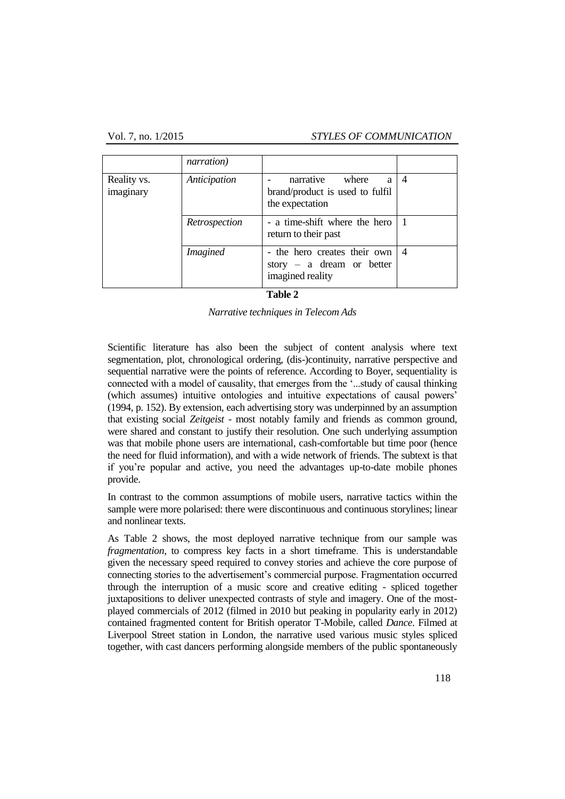#### Vol. 7, no. 1/2015 *STYLES OF COMMUNICATION*

|                          | narration)      |                                                                               |                |
|--------------------------|-----------------|-------------------------------------------------------------------------------|----------------|
| Reality vs.<br>imaginary | Anticipation    | narrative<br>where<br>a<br>brand/product is used to fulfil<br>the expectation | $\overline{4}$ |
|                          | Retrospection   | - a time-shift where the hero<br>return to their past                         |                |
|                          | <i>Imagined</i> | - the hero creates their own<br>story – a dream or better<br>imagined reality | $\overline{4}$ |

#### **Table 2**

*Narrative techniques in Telecom Ads*

Scientific literature has also been the subject of content analysis where text segmentation, plot, chronological ordering, (dis-)continuity, narrative perspective and sequential narrative were the points of reference. According to Boyer, sequentiality is connected with a model of causality, that emerges from the "...study of causal thinking (which assumes) intuitive ontologies and intuitive expectations of causal powers" (1994, p. 152). By extension, each advertising story was underpinned by an assumption that existing social *Zeitgeist* - most notably family and friends as common ground, were shared and constant to justify their resolution. One such underlying assumption was that mobile phone users are international, cash-comfortable but time poor (hence the need for fluid information), and with a wide network of friends. The subtext is that if you"re popular and active, you need the advantages up-to-date mobile phones provide.

In contrast to the common assumptions of mobile users, narrative tactics within the sample were more polarised: there were discontinuous and continuous storylines; linear and nonlinear texts.

As Table 2 shows, the most deployed narrative technique from our sample was *fragmentation*, to compress key facts in a short timeframe. This is understandable given the necessary speed required to convey stories and achieve the core purpose of connecting stories to the advertisement"s commercial purpose. Fragmentation occurred through the interruption of a music score and creative editing - spliced together juxtapositions to deliver unexpected contrasts of style and imagery. One of the mostplayed commercials of 2012 (filmed in 2010 but peaking in popularity early in 2012) contained fragmented content for British operator T-Mobile, called *Dance*. Filmed at Liverpool Street station in London, the narrative used various music styles spliced together, with cast dancers performing alongside members of the public spontaneously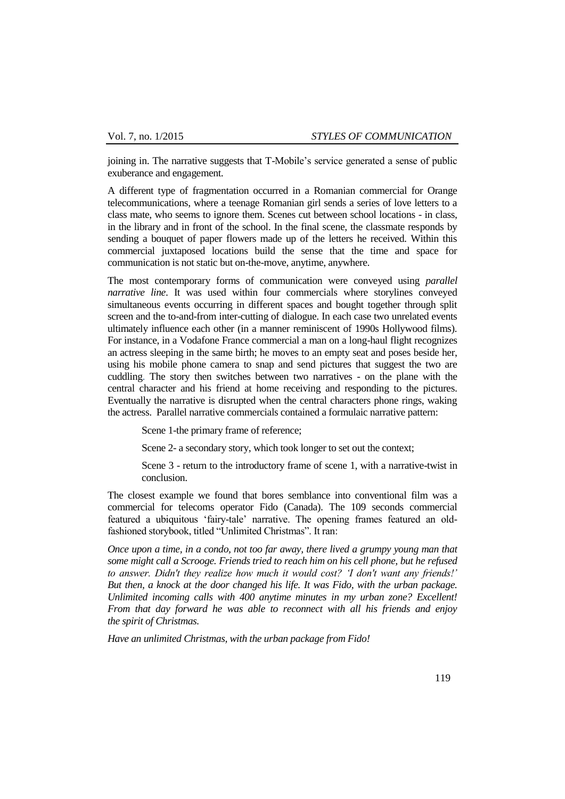joining in. The narrative suggests that T-Mobile"s service generated a sense of public exuberance and engagement.

A different type of fragmentation occurred in a Romanian commercial for Orange telecommunications, where a teenage Romanian girl sends a series of love letters to a class mate, who seems to ignore them. Scenes cut between school locations - in class, in the library and in front of the school. In the final scene, the classmate responds by sending a bouquet of paper flowers made up of the letters he received. Within this commercial juxtaposed locations build the sense that the time and space for communication is not static but on-the-move, anytime, anywhere.

The most contemporary forms of communication were conveyed using *parallel narrative line*. It was used within four commercials where storylines conveyed simultaneous events occurring in different spaces and bought together through split screen and the to-and-from inter-cutting of dialogue. In each case two unrelated events ultimately influence each other (in a manner reminiscent of 1990s Hollywood films). For instance, in a Vodafone France commercial a man on a long-haul flight recognizes an actress sleeping in the same birth; he moves to an empty seat and poses beside her, using his mobile phone camera to snap and send pictures that suggest the two are cuddling. The story then switches between two narratives - on the plane with the central character and his friend at home receiving and responding to the pictures. Eventually the narrative is disrupted when the central characters phone rings, waking the actress. Parallel narrative commercials contained a formulaic narrative pattern:

Scene 1-the primary frame of reference;

Scene 2- a secondary story, which took longer to set out the context;

Scene 3 - return to the introductory frame of scene 1, with a narrative-twist in conclusion.

The closest example we found that bores semblance into conventional film was a commercial for telecoms operator Fido (Canada). The 109 seconds commercial featured a ubiquitous "fairy-tale" narrative. The opening frames featured an oldfashioned storybook, titled "Unlimited Christmas". It ran:

*Once upon a time, in a condo, not too far away, there lived a grumpy young man that some might call a Scrooge. Friends tried to reach him on his cell phone, but he refused to answer. Didn't they realize how much it would cost? 'I don't want any friends!' But then, a knock at the door changed his life. It was Fido, with the urban package. Unlimited incoming calls with 400 anytime minutes in my urban zone? Excellent! From that day forward he was able to reconnect with all his friends and enjoy the spirit of Christmas.*

*Have an unlimited Christmas, with the urban package from Fido!*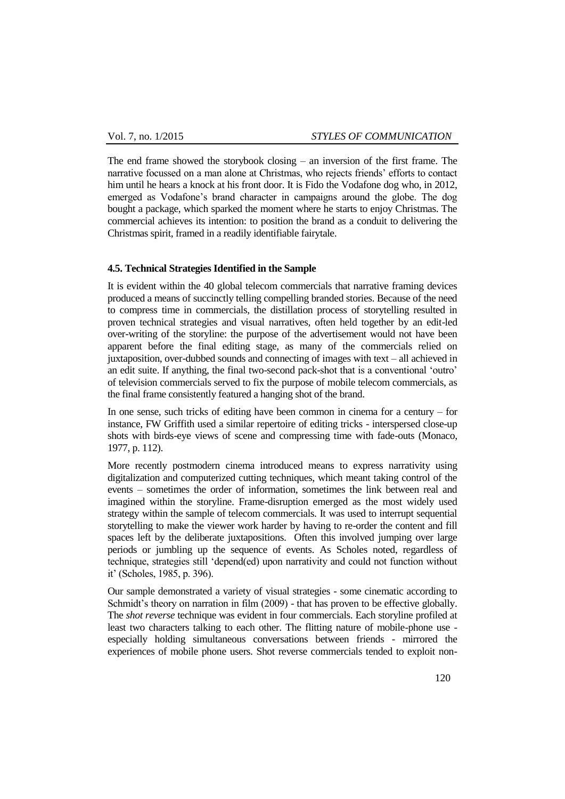The end frame showed the storybook closing – an inversion of the first frame. The narrative focussed on a man alone at Christmas, who rejects friends" efforts to contact him until he hears a knock at his front door. It is Fido the Vodafone dog who, in 2012, emerged as Vodafone"s brand character in campaigns around the globe. The dog bought a package, which sparked the moment where he starts to enjoy Christmas. The commercial achieves its intention: to position the brand as a conduit to delivering the Christmas spirit, framed in a readily identifiable fairytale.

### **4.5. Technical Strategies Identified in the Sample**

It is evident within the 40 global telecom commercials that narrative framing devices produced a means of succinctly telling compelling branded stories. Because of the need to compress time in commercials, the distillation process of storytelling resulted in proven technical strategies and visual narratives, often held together by an edit-led over-writing of the storyline: the purpose of the advertisement would not have been apparent before the final editing stage, as many of the commercials relied on juxtaposition, over-dubbed sounds and connecting of images with text – all achieved in an edit suite. If anything, the final two-second pack-shot that is a conventional "outro" of television commercials served to fix the purpose of mobile telecom commercials, as the final frame consistently featured a hanging shot of the brand.

In one sense, such tricks of editing have been common in cinema for a century – for instance, FW Griffith used a similar repertoire of editing tricks - interspersed close-up shots with birds-eye views of scene and compressing time with fade-outs (Monaco, 1977, p. 112).

More recently postmodern cinema introduced means to express narrativity using digitalization and computerized cutting techniques, which meant taking control of the events – sometimes the order of information, sometimes the link between real and imagined within the storyline. Frame-disruption emerged as the most widely used strategy within the sample of telecom commercials. It was used to interrupt sequential storytelling to make the viewer work harder by having to re-order the content and fill spaces left by the deliberate juxtapositions. Often this involved jumping over large periods or jumbling up the sequence of events. As Scholes noted, regardless of technique, strategies still "depend(ed) upon narrativity and could not function without it" (Scholes, 1985, p. 396).

Our sample demonstrated a variety of visual strategies - some cinematic according to Schmidt's theory on narration in film (2009) - that has proven to be effective globally. The *shot reverse* technique was evident in four commercials. Each storyline profiled at least two characters talking to each other. The flitting nature of mobile-phone use especially holding simultaneous conversations between friends - mirrored the experiences of mobile phone users. Shot reverse commercials tended to exploit non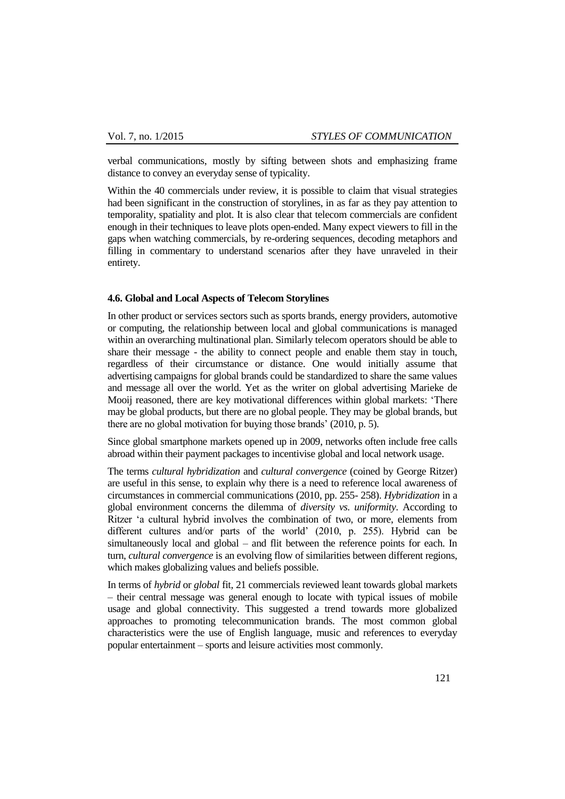verbal communications, mostly by sifting between shots and emphasizing frame distance to convey an everyday sense of typicality.

Within the 40 commercials under review, it is possible to claim that visual strategies had been significant in the construction of storylines, in as far as they pay attention to temporality, spatiality and plot. It is also clear that telecom commercials are confident enough in their techniques to leave plots open-ended. Many expect viewers to fill in the gaps when watching commercials, by re-ordering sequences, decoding metaphors and filling in commentary to understand scenarios after they have unraveled in their entirety.

#### **4.6. Global and Local Aspects of Telecom Storylines**

In other product or services sectors such as sports brands, energy providers, automotive or computing, the relationship between local and global communications is managed within an overarching multinational plan. Similarly telecom operators should be able to share their message - the ability to connect people and enable them stay in touch, regardless of their circumstance or distance. One would initially assume that advertising campaigns for global brands could be standardized to share the same values and message all over the world. Yet as the writer on global advertising Marieke de Mooij reasoned, there are key motivational differences within global markets: "There may be global products, but there are no global people. They may be global brands, but there are no global motivation for buying those brands" (2010, p. 5).

Since global smartphone markets opened up in 2009, networks often include free calls abroad within their payment packages to incentivise global and local network usage.

The terms *cultural hybridization* and *cultural convergence* (coined by George Ritzer) are useful in this sense, to explain why there is a need to reference local awareness of circumstances in commercial communications (2010, pp. 255- 258). *Hybridization* in a global environment concerns the dilemma of *diversity vs. uniformity*. According to Ritzer "a cultural hybrid involves the combination of two, or more, elements from different cultures and/or parts of the world' (2010, p. 255). Hybrid can be simultaneously local and global – and flit between the reference points for each. In turn, *cultural convergence* is an evolving flow of similarities between different regions, which makes globalizing values and beliefs possible.

In terms of *hybrid* or *global* fit*,* 21 commercials reviewed leant towards global markets – their central message was general enough to locate with typical issues of mobile usage and global connectivity. This suggested a trend towards more globalized approaches to promoting telecommunication brands. The most common global characteristics were the use of English language, music and references to everyday popular entertainment – sports and leisure activities most commonly.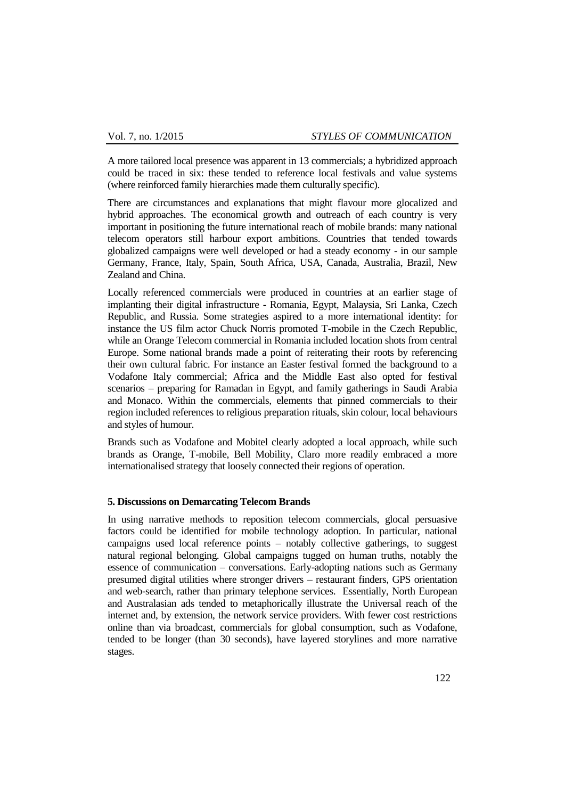A more tailored local presence was apparent in 13 commercials; a hybridized approach could be traced in six: these tended to reference local festivals and value systems (where reinforced family hierarchies made them culturally specific).

There are circumstances and explanations that might flavour more glocalized and hybrid approaches. The economical growth and outreach of each country is very important in positioning the future international reach of mobile brands: many national telecom operators still harbour export ambitions. Countries that tended towards globalized campaigns were well developed or had a steady economy - in our sample Germany, France, Italy, Spain, South Africa, USA, Canada, Australia, Brazil, New Zealand and China.

Locally referenced commercials were produced in countries at an earlier stage of implanting their digital infrastructure - Romania, Egypt, Malaysia, Sri Lanka, Czech Republic, and Russia. Some strategies aspired to a more international identity: for instance the US film actor Chuck Norris promoted T-mobile in the Czech Republic, while an Orange Telecom commercial in Romania included location shots from central Europe. Some national brands made a point of reiterating their roots by referencing their own cultural fabric. For instance an Easter festival formed the background to a Vodafone Italy commercial; Africa and the Middle East also opted for festival scenarios – preparing for Ramadan in Egypt, and family gatherings in Saudi Arabia and Monaco. Within the commercials, elements that pinned commercials to their region included references to religious preparation rituals, skin colour, local behaviours and styles of humour.

Brands such as Vodafone and Mobitel clearly adopted a local approach, while such brands as Orange, T-mobile, Bell Mobility, Claro more readily embraced a more internationalised strategy that loosely connected their regions of operation.

### **5. Discussions on Demarcating Telecom Brands**

In using narrative methods to reposition telecom commercials, glocal persuasive factors could be identified for mobile technology adoption. In particular, national campaigns used local reference points – notably collective gatherings, to suggest natural regional belonging. Global campaigns tugged on human truths, notably the essence of communication – conversations. Early-adopting nations such as Germany presumed digital utilities where stronger drivers – restaurant finders, GPS orientation and web-search, rather than primary telephone services. Essentially, North European and Australasian ads tended to metaphorically illustrate the Universal reach of the internet and, by extension, the network service providers. With fewer cost restrictions online than via broadcast, commercials for global consumption, such as Vodafone, tended to be longer (than 30 seconds), have layered storylines and more narrative stages.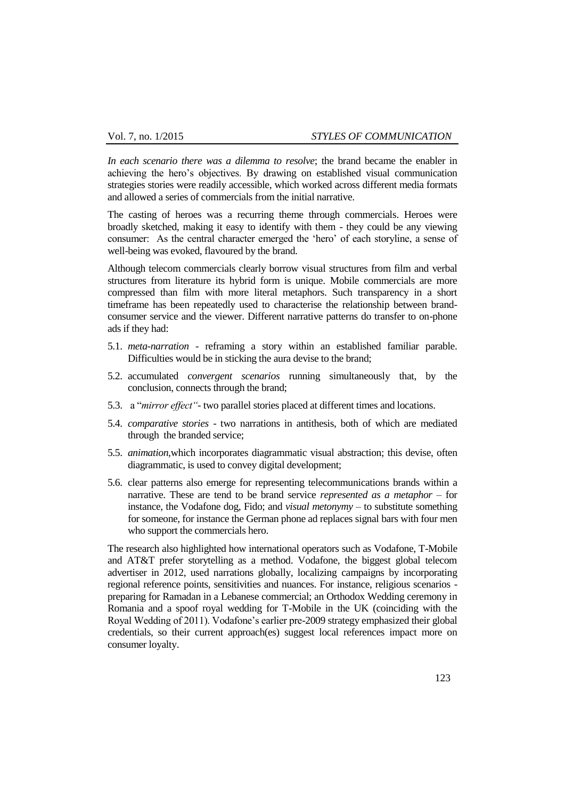*In each scenario there was a dilemma to resolve*; the brand became the enabler in achieving the hero"s objectives. By drawing on established visual communication strategies stories were readily accessible, which worked across different media formats and allowed a series of commercials from the initial narrative.

The casting of heroes was a recurring theme through commercials. Heroes were broadly sketched, making it easy to identify with them - they could be any viewing consumer: As the central character emerged the "hero" of each storyline, a sense of well-being was evoked, flavoured by the brand.

Although telecom commercials clearly borrow visual structures from film and verbal structures from literature its hybrid form is unique. Mobile commercials are more compressed than film with more literal metaphors. Such transparency in a short timeframe has been repeatedly used to characterise the relationship between brandconsumer service and the viewer. Different narrative patterns do transfer to on-phone ads if they had:

- 5.1. *meta-narration* reframing a story within an established familiar parable. Difficulties would be in sticking the aura devise to the brand;
- 5.2. accumulated *convergent scenarios* running simultaneously that, by the conclusion, connects through the brand;
- 5.3. a "*mirror effect"-* two parallel stories placed at different times and locations.
- 5.4. *comparative stories* two narrations in antithesis, both of which are mediated through the branded service;
- 5.5. *animation,*which incorporates diagrammatic visual abstraction; this devise, often diagrammatic, is used to convey digital development;
- 5.6. clear patterns also emerge for representing telecommunications brands within a narrative. These are tend to be brand service *represented as a metaphor* – for instance, the Vodafone dog, Fido; and *visual metonymy* – to substitute something for someone, for instance the German phone ad replaces signal bars with four men who support the commercials hero.

The research also highlighted how international operators such as Vodafone, T-Mobile and AT&T prefer storytelling as a method. Vodafone, the biggest global telecom advertiser in 2012, used narrations globally, localizing campaigns by incorporating regional reference points, sensitivities and nuances. For instance, religious scenarios preparing for Ramadan in a Lebanese commercial; an Orthodox Wedding ceremony in Romania and a spoof royal wedding for T-Mobile in the UK (coinciding with the Royal Wedding of 2011). Vodafone"s earlier pre-2009 strategy emphasized their global credentials, so their current approach(es) suggest local references impact more on consumer loyalty.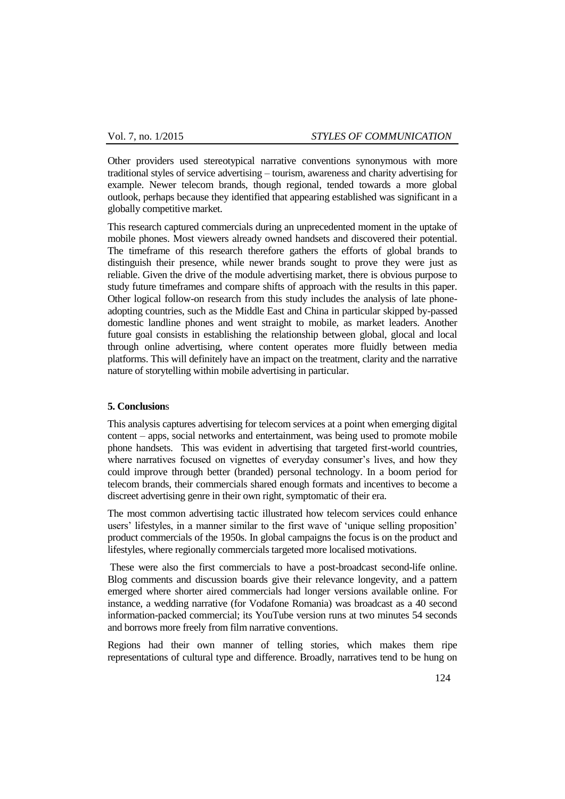Other providers used stereotypical narrative conventions synonymous with more traditional styles of service advertising – tourism, awareness and charity advertising for example. Newer telecom brands, though regional, tended towards a more global outlook, perhaps because they identified that appearing established was significant in a globally competitive market.

This research captured commercials during an unprecedented moment in the uptake of mobile phones. Most viewers already owned handsets and discovered their potential. The timeframe of this research therefore gathers the efforts of global brands to distinguish their presence, while newer brands sought to prove they were just as reliable. Given the drive of the module advertising market, there is obvious purpose to study future timeframes and compare shifts of approach with the results in this paper. Other logical follow-on research from this study includes the analysis of late phoneadopting countries, such as the Middle East and China in particular skipped by-passed domestic landline phones and went straight to mobile, as market leaders. Another future goal consists in establishing the relationship between global, glocal and local through online advertising, where content operates more fluidly between media platforms. This will definitely have an impact on the treatment, clarity and the narrative nature of storytelling within mobile advertising in particular.

### **5. Conclusion**s

This analysis captures advertising for telecom services at a point when emerging digital content – apps, social networks and entertainment, was being used to promote mobile phone handsets. This was evident in advertising that targeted first-world countries, where narratives focused on vignettes of everyday consumer's lives, and how they could improve through better (branded) personal technology. In a boom period for telecom brands, their commercials shared enough formats and incentives to become a discreet advertising genre in their own right, symptomatic of their era.

The most common advertising tactic illustrated how telecom services could enhance users' lifestyles, in a manner similar to the first wave of 'unique selling proposition' product commercials of the 1950s. In global campaigns the focus is on the product and lifestyles, where regionally commercials targeted more localised motivations.

These were also the first commercials to have a post-broadcast second-life online. Blog comments and discussion boards give their relevance longevity, and a pattern emerged where shorter aired commercials had longer versions available online. For instance, a wedding narrative (for Vodafone Romania) was broadcast as a 40 second information-packed commercial; its YouTube version runs at two minutes 54 seconds and borrows more freely from film narrative conventions.

Regions had their own manner of telling stories, which makes them ripe representations of cultural type and difference. Broadly, narratives tend to be hung on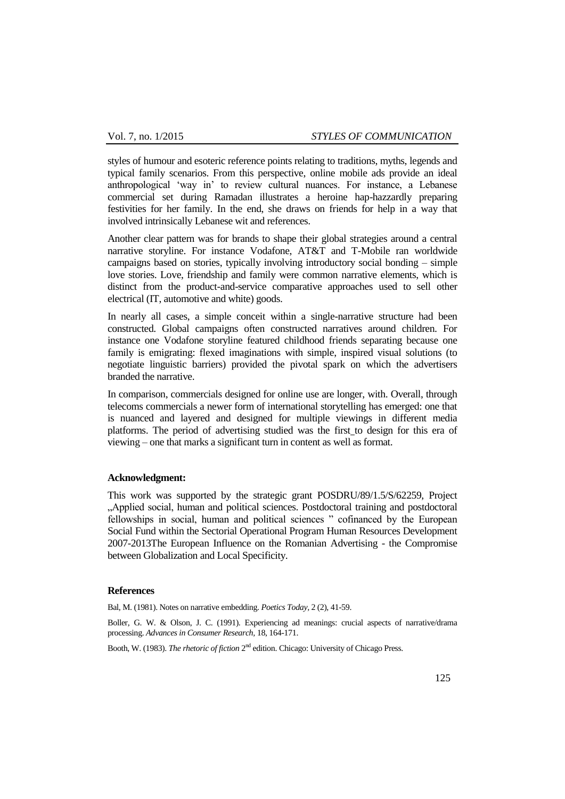styles of humour and esoteric reference points relating to traditions, myths, legends and typical family scenarios. From this perspective, online mobile ads provide an ideal anthropological "way in" to review cultural nuances. For instance, a Lebanese commercial set during Ramadan illustrates a heroine hap-hazzardly preparing festivities for her family. In the end, she draws on friends for help in a way that involved intrinsically Lebanese wit and references.

Another clear pattern was for brands to shape their global strategies around a central narrative storyline. For instance Vodafone, AT&T and T-Mobile ran worldwide campaigns based on stories, typically involving introductory social bonding – simple love stories. Love, friendship and family were common narrative elements, which is distinct from the product-and-service comparative approaches used to sell other electrical (IT, automotive and white) goods.

In nearly all cases, a simple conceit within a single-narrative structure had been constructed. Global campaigns often constructed narratives around children. For instance one Vodafone storyline featured childhood friends separating because one family is emigrating: flexed imaginations with simple, inspired visual solutions (to negotiate linguistic barriers) provided the pivotal spark on which the advertisers branded the narrative.

In comparison, commercials designed for online use are longer, with. Overall, through telecoms commercials a newer form of international storytelling has emerged: one that is nuanced and layered and designed for multiple viewings in different media platforms. The period of advertising studied was the first to design for this era of viewing – one that marks a significant turn in content as well as format.

### **Acknowledgment:**

This work was supported by the strategic grant POSDRU/89/1.5/S/62259, Project "Applied social, human and political sciences. Postdoctoral training and postdoctoral fellowships in social, human and political sciences " cofinanced by the European Social Fund within the Sectorial Operational Program Human Resources Development 2007-2013The European Influence on the Romanian Advertising - the Compromise between Globalization and Local Specificity.

#### **References**

Bal, M. (1981). Notes on narrative embedding. *Poetics Today,* 2 (2), 41-59.

Boller, G. W. & Olson, J. C. (1991). Experiencing ad meanings: crucial aspects of narrative/drama processing. *Advances in Consumer Research,* 18, 164-171.

Booth, W. (1983). *The rhetoric of fiction* 2<sup>nd</sup> edition. Chicago: University of Chicago Press.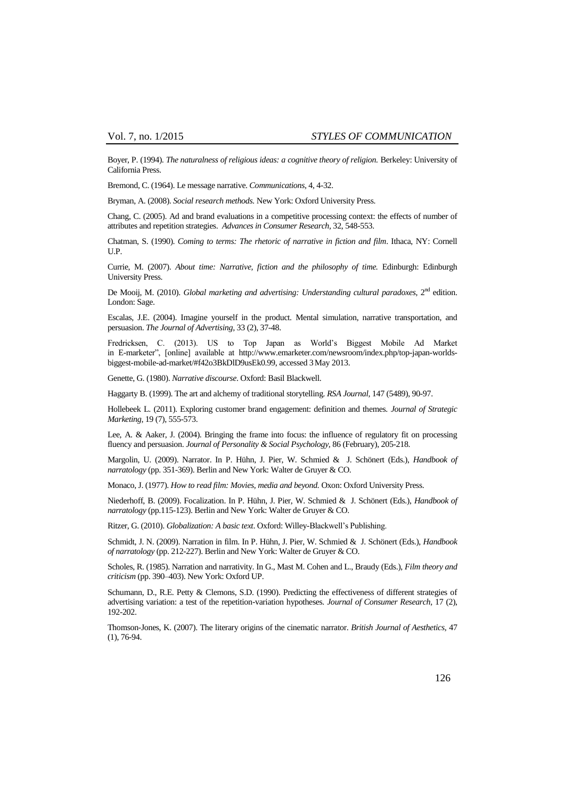Boyer, P. (1994). *The naturalness of religious ideas: a cognitive theory of religion.* Berkeley: University of California Press.

Bremond, C. (1964). Le message narrative. *Communications,* 4, 4-32.

Bryman, A. (2008). *Social research methods.* New York: Oxford University Press.

Chang, C. (2005). Ad and brand evaluations in a competitive processing context: the effects of number of attributes and repetition strategies. *Advances in Consumer Research,* 32, 548-553.

Chatman, S. (1990). *Coming to terms: The rhetoric of narrative in fiction and film*. Ithaca, NY: Cornell U.P.

Currie, M. (2007). *About time: Narrative, fiction and the philosophy of time.* Edinburgh: Edinburgh University Press.

De Mooij, M. (2010). *Global marketing and advertising: Understanding cultural paradoxes*, 2<sup>nd</sup> edition. London: Sage.

Escalas, J.E. (2004). Imagine yourself in the product. Mental simulation, narrative transportation, and persuasion. *The Journal of Advertising,* 33 (2), 37-48.

Fredricksen, C. (2013). US to Top Japan as World"s Biggest Mobile Ad Market in E-marketer", [online] available at [http://www.emarketer.com/newsroom/index.php/top-japan-worlds](http://www.emarketer.com/newsroom/index.php/top-japan-worlds-biggest-mobile-ad-market/#f42o3BkDlD9usEk0.99)[biggest-mobile-ad-market/#f42o3BkDlD9usEk0.99,](http://www.emarketer.com/newsroom/index.php/top-japan-worlds-biggest-mobile-ad-market/#f42o3BkDlD9usEk0.99) accessed 3May 2013.

Genette, G. (1980). *Narrative discourse*. Oxford: Basil Blackwell.

Haggarty B. (1999). The art and alchemy of traditional storytelling. *RSA Journal,* 147 (5489), 90-97.

Hollebeek L. (2011). Exploring customer brand engagement: definition and themes. *Journal of Strategic Marketing,* 19 (7), 555-573.

Lee, A. & Aaker, J. (2004). Bringing the frame into focus: the influence of regulatory fit on processing fluency and persuasion. *Journal of Personality & Social Psychology,* 86 (February), 205-218.

Margolin, U. (2009). Narrator. In P. Hühn, J. Pier, W. Schmied & J. Schönert (Eds.), *Handbook of narratology* (pp. 351-369). Berlin and New York: Walter de Gruyer & CO.

Monaco, J. (1977). *How to read film: Movies, media and beyond.* Oxon: Oxford University Press.

Niederhoff, B. (2009). Focalization. In P. Hühn, J. Pier, W. Schmied & J. Schönert (Eds.), *Handbook of narratology* (pp.115-123). Berlin and New York: Walter de Gruyer & CO.

Ritzer, G. (2010). *Globalization: A basic text*. Oxford: Willey-Blackwell"s Publishing.

Schmidt, J. N. (2009). Narration in film. In P. Hühn, J. Pier, W. Schmied & J. Schönert (Eds.), *Handbook of narratology* (pp. 212-227). Berlin and New York: Walter de Gruyer & CO.

Scholes, R. (1985). Narration and narrativity. In G., Mast M. Cohen and L., Braudy (Eds.), *Film theory and criticism* (pp. 390–403). New York: Oxford UP.

Schumann, D., R.E. Petty & Clemons, S.D. (1990). Predicting the effectiveness of different strategies of advertising variation: a test of the repetition-variation hypotheses. *Journal of Consumer Research,* 17 (2), 192-202.

Thomson-Jones, K. (2007). The literary origins of the cinematic narrator. *British Journal of Aesthetics,* 47 (1), 76-94.